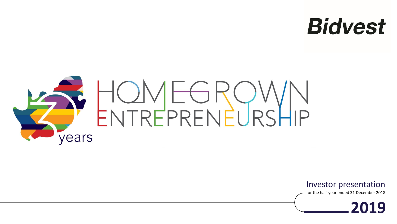## **Bidvest**



Investor presentation

for the half-year ended 31 December 2018

**2019**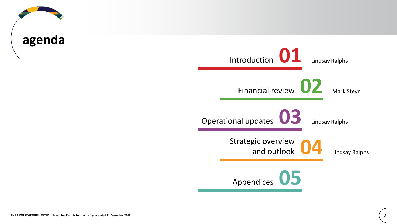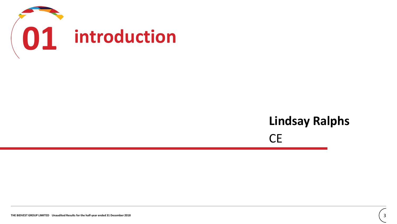

### **Lindsay Ralphs** CE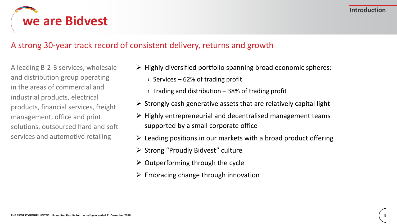

### A strong 30-year track record of consistent delivery, returns and growth

A leading B-2-B services, wholesale and distribution group operating in the areas of commercial and industrial products, electrical products, financial services, freight management, office and print solutions, outsourced hard and soft services and automotive retailing

- $\triangleright$  Highly diversified portfolio spanning broad economic spheres:
	- $\rightarrow$  Services 62% of trading profit
	- $\rightarrow$  Trading and distribution 38% of trading profit
- $\triangleright$  Strongly cash generative assets that are relatively capital light
- $\triangleright$  Highly entrepreneurial and decentralised management teams supported by a small corporate office
- $\triangleright$  Leading positions in our markets with a broad product offering
- ➢ Strong "Proudly Bidvest" culture
- $\triangleright$  Outperforming through the cycle
- $\triangleright$  Embracing change through innovation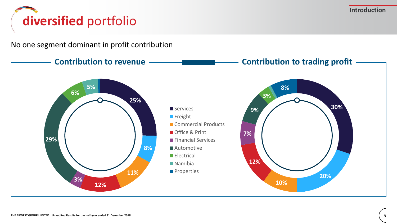**Introduction**

## **diversified** portfolio

No one segment dominant in profit contribution

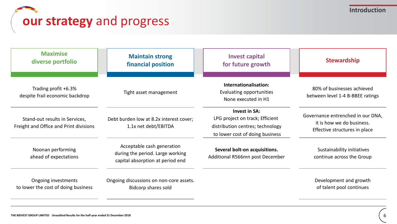### **our strategy** and progress

| <b>Maximise</b><br>diverse portfolio                                     | <b>Maintain strong</b><br>financial position                                                       | <b>Invest capital</b><br>for future growth                                                                                     | <b>Stewardship</b>                                                                              |
|--------------------------------------------------------------------------|----------------------------------------------------------------------------------------------------|--------------------------------------------------------------------------------------------------------------------------------|-------------------------------------------------------------------------------------------------|
| Trading profit +6.3%<br>despite frail economic backdrop                  | Tight asset management                                                                             | Internationalisation:<br>Evaluating opportunities<br>None executed in H1                                                       | 80% of businesses achieved<br>between level 1-4 B-BBEE ratings                                  |
| Stand-out results in Services,<br>Freight and Office and Print divisions | Debt burden low at 8.2x interest cover;<br>1.1x net debt/EBITDA                                    | <b>Invest in SA:</b><br>LPG project on track; Efficient<br>distribution centres; technology<br>to lower cost of doing business | Governance entrenched in our DNA,<br>it is how we do business.<br>Effective structures in place |
| Noonan performing<br>ahead of expectations                               | Acceptable cash generation<br>during the period. Large working<br>capital absorption at period end | Several bolt-on acquisitions.<br>Additional R566mn post December                                                               | Sustainability initiatives<br>continue across the Group                                         |
| Ongoing investments<br>to lower the cost of doing business               | Ongoing discussions on non-core assets.<br>Bidcorp shares sold                                     |                                                                                                                                | Development and growth<br>of talent pool continues                                              |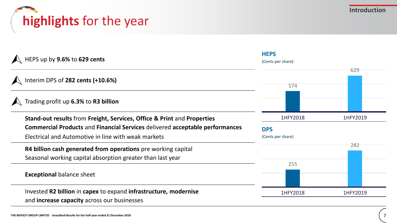



| HEPS up by 9.6% to 629 cents                                                                                                | <b>HEPS</b><br>(Cents per share) |          |
|-----------------------------------------------------------------------------------------------------------------------------|----------------------------------|----------|
| Interim DPS of 282 cents (+10.6%)                                                                                           | 574                              | 629      |
| Trading profit up 6.3% to R3 billion                                                                                        |                                  |          |
| Stand-out results from Freight, Services, Office & Print and Properties                                                     | 1HFY2018                         | 1HFY2019 |
| <b>Commercial Products and Financial Services delivered acceptable performances</b>                                         | <b>DPS</b>                       |          |
| Electrical and Automotive in line with weak markets                                                                         | (Cents per share)                |          |
| R4 billion cash generated from operations pre working capital<br>Seasonal working capital absorption greater than last year |                                  | 282      |
|                                                                                                                             | 255                              |          |
| <b>Exceptional balance sheet</b>                                                                                            |                                  |          |
| Invested R2 billion in capex to expand infrastructure, modernise<br>and <b>increase capacity</b> across our businesses      | 1HFY2018                         | 1HFY2019 |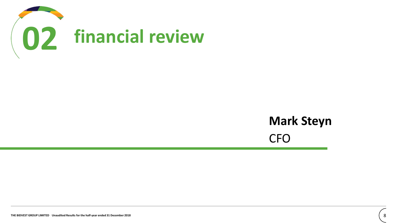

### **Mark Steyn** CFO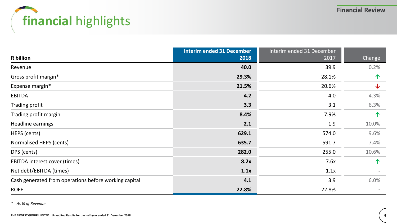# **financial** highlights

|                                                       | <b>Interim ended 31 December</b> | Interim ended 31 December |        |
|-------------------------------------------------------|----------------------------------|---------------------------|--------|
| <b>R</b> billion                                      | 2018                             | 2017                      | Change |
| Revenue                                               | 40.0                             | 39.9                      | 0.2%   |
| Gross profit margin*                                  | 29.3%                            | 28.1%                     | 个      |
| Expense margin*                                       | 21.5%                            | 20.6%                     | ↓      |
| <b>EBITDA</b>                                         | 4.2                              | 4.0                       | 4.3%   |
| Trading profit                                        | 3.3                              | 3.1                       | 6.3%   |
| Trading profit margin                                 | 8.4%                             | 7.9%                      | 个      |
| Headline earnings                                     | 2.1                              | 1.9                       | 10.0%  |
| HEPS (cents)                                          | 629.1                            | 574.0                     | 9.6%   |
| Normalised HEPS (cents)                               | 635.7                            | 591.7                     | 7.4%   |
| DPS (cents)                                           | 282.0                            | 255.0                     | 10.6%  |
| EBITDA interest cover (times)                         | 8.2x                             | 7.6x                      | 个      |
| Net debt/EBITDA (times)                               | 1.1x                             | 1.1x                      |        |
| Cash generated from operations before working capital | 4.1                              | 3.9                       | 6.0%   |
| <b>ROFE</b>                                           | 22.8%                            | 22.8%                     |        |

*\* As % of Revenue*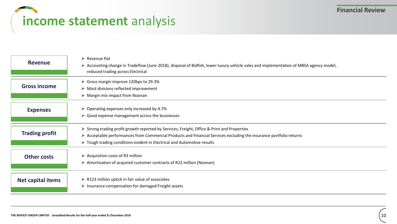## **income statement** analysis

| <b>Revenue</b>           | $\triangleright$ Revenue flat<br>> Accounting change in Tradeflow (June 2018), disposal of Bidfish, lower luxury vehicle sales and implementation of MBSA agency model,<br>reduced trading across Electrical                                                                                                                |
|--------------------------|-----------------------------------------------------------------------------------------------------------------------------------------------------------------------------------------------------------------------------------------------------------------------------------------------------------------------------|
| <b>Gross income</b>      | $\triangleright$ Gross margin improve 120bps to 29.3%<br>$\triangleright$ Most divisions reflected improvement<br>$\triangleright$ Margin mix impact from Noonan                                                                                                                                                            |
| <b>Expenses</b>          | $\triangleright$ Operating expenses only increased by 4.7%<br>$\triangleright$ Good expense management across the businesses                                                                                                                                                                                                |
| <b>Trading profit</b>    | > Strong trading profit growth reported by Services, Freight, Office & Print and Properties<br>$\triangleright$ Acceptable performances from Commercial Products and Financial Services excluding the insurance portfolio returns<br>$\triangleright$ Tough trading conditions evident in Electrical and Automotive results |
| <b>Other costs</b>       | $\triangleright$ Acquisition costs of R3 million<br>> Amortisation of acquired customer contracts of R22 million (Noonan)                                                                                                                                                                                                   |
| <b>Net capital items</b> | $\triangleright$ R123 million uptick in fair value of associates<br>$\triangleright$ Insurance compensation for damaged Freight assets                                                                                                                                                                                      |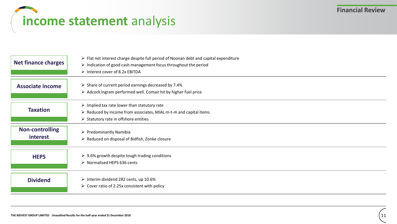### **income statement** analysis

| <b>Net finance charges</b>         | $\triangleright$ Flat net interest charge despite full period of Noonan debt and capital expenditure<br>$\triangleright$ Indication of good cash management focus throughout the period<br>> Interest cover of 8.2x EBITDA |
|------------------------------------|----------------------------------------------------------------------------------------------------------------------------------------------------------------------------------------------------------------------------|
| <b>Associate income</b>            | $\triangleright$ Share of current period earnings decreased by 7.4%<br>$\triangleright$ Adcock Ingram performed well. Comair hit by higher fuel price                                                                      |
| <b>Taxation</b>                    | $\triangleright$ Implied tax rate lower than statutory rate<br>$\triangleright$ Reduced by income from associates, MIAL m-t-m and capital items<br>$\triangleright$ Statutory rate in offshore entities                    |
| <b>Non-controlling</b><br>interest | $\triangleright$ Predominantly Namibia<br>$\triangleright$ Reduced on disposal of Bidfish, Zonke closure                                                                                                                   |
| <b>HEPS</b>                        | $\geq$ 9.6% growth despite tough trading conditions<br>> Normalised HEPS 636 cents                                                                                                                                         |
| <b>Dividend</b>                    | $\triangleright$ Interim dividend 282 cents, up 10.6%<br>$\triangleright$ Cover ratio of 2.25x consistent with policy                                                                                                      |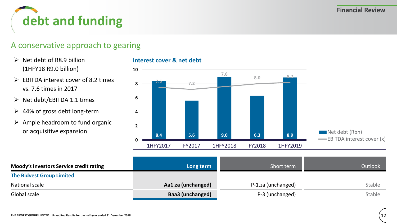

### A conservative approach to gearing

- $\triangleright$  Net debt of R8.9 billion (1HFY18 R9.0 billion)
- $\triangleright$  EBITDA interest cover of 8.2 times vs. 7.6 times in 2017
- ➢ Net debt/EBITDA 1.1 times
- $\geq$  44% of gross debt long-term
- $\triangleright$  Ample headroom to fund organic or acquisitive expansion

#### **Interest cover & net debt**



| Moody's Investors Service credit rating | Long term               | Short term         | <b>Outlook</b> |
|-----------------------------------------|-------------------------|--------------------|----------------|
| <b>The Bidvest Group Limited</b>        |                         |                    |                |
| National scale                          | Aa1.za (unchanged)      | P-1.za (unchanged) | Stable         |
| Global scale                            | <b>Baa3 (unchanged)</b> | P-3 (unchanged)    | <b>Stable</b>  |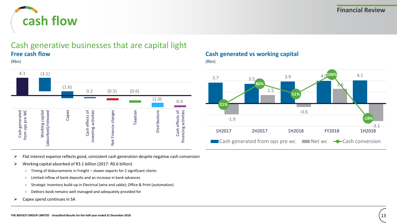

### Cash generative businesses that are capital light **Free cash flow**





### **Cash generated vs working capital**

(Rbn)



- ➢ Flat interest expense reflects good, consistent cash generation despite negative cash conversion
- ➢ Working capital absorbed of R3.1 billion (2017: R0.6 billion)
	- › Timing of disbursements in Freight slower exports for 2 significant clients
	- › Limited inflow of bank deposits and an increase in bank advances
	- › Strategic inventory build-up in Electrical (wire and cable); Office & Print (automation)
	- › Debtors book remains well managed and adequately provided for
- $\triangleright$  Capex spend continues in SA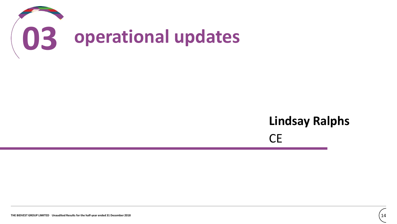

### **Lindsay Ralphs** CE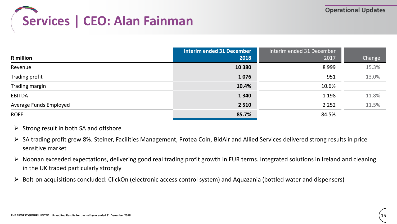

|                        | <b>Interim ended 31 December</b> | Interim ended 31 December |        |
|------------------------|----------------------------------|---------------------------|--------|
| <b>R</b> million       | 2018                             | 2017                      | Change |
| Revenue                | 10 3 80                          | 8999                      | 15.3%  |
| Trading profit         | 1076                             | 951                       | 13.0%  |
| Trading margin         | 10.4%                            | 10.6%                     |        |
| <b>EBITDA</b>          | 1 3 4 0                          | 1 1 9 8                   | 11.8%  |
| Average Funds Employed | 2 5 1 0                          | 2 2 5 2                   | 11.5%  |
| <b>ROFE</b>            | 85.7%                            | 84.5%                     |        |

#### $\triangleright$  Strong result in both SA and offshore

- ➢ SA trading profit grew 8%. Steiner, Facilities Management, Protea Coin, BidAir and Allied Services delivered strong results in price sensitive market
- ➢ Noonan exceeded expectations, delivering good real trading profit growth in EUR terms. Integrated solutions in Ireland and cleaning in the UK traded particularly strongly
- $\triangleright$  Bolt-on acquisitions concluded: ClickOn (electronic access control system) and Aquazania (bottled water and dispensers)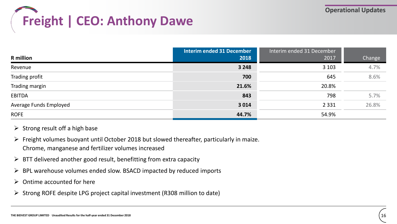

|                        | <b>Interim ended 31 December</b> | Interim ended 31 December |        |
|------------------------|----------------------------------|---------------------------|--------|
| <b>R</b> million       | 2018                             | 2017                      | Change |
| Revenue                | 3 2 4 8                          | 3 1 0 3                   | 4.7%   |
| Trading profit         | 700                              | 645                       | 8.6%   |
| Trading margin         | 21.6%                            | 20.8%                     |        |
| <b>EBITDA</b>          | 843                              | 798                       | 5.7%   |
| Average Funds Employed | 3 0 1 4                          | 2 3 3 1                   | 26.8%  |
| <b>ROFE</b>            | 44.7%                            | 54.9%                     |        |

#### $\triangleright$  Strong result off a high base

- $\triangleright$  Freight volumes buoyant until October 2018 but slowed thereafter, particularly in maize. Chrome, manganese and fertilizer volumes increased
- $\triangleright$  BTT delivered another good result, benefitting from extra capacity
- ➢ BPL warehouse volumes ended slow. BSACD impacted by reduced imports
- $\triangleright$  Ontime accounted for here
- ➢ Strong ROFE despite LPG project capital investment (R308 million to date)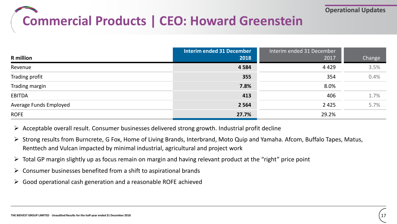## **Commercial Products | CEO: Howard Greenstein**

|                        | <b>Interim ended 31 December</b> | Interim ended 31 December |        |
|------------------------|----------------------------------|---------------------------|--------|
| <b>R</b> million       | 2018                             | 2017                      | Change |
| Revenue                | 4 5 8 4                          | 4 4 2 9                   | 3.5%   |
| Trading profit         | 355                              | 354                       | 0.4%   |
| Trading margin         | 7.8%                             | 8.0%                      |        |
| <b>EBITDA</b>          | 413                              | 406                       | 1.7%   |
| Average Funds Employed | 2 5 6 4                          | 2 4 2 5                   | 5.7%   |
| <b>ROFE</b>            | 27.7%                            | 29.2%                     |        |

 $\triangleright$  Acceptable overall result. Consumer businesses delivered strong growth. Industrial profit decline

- ➢ Strong results from Burncrete, G Fox, Home of Living Brands, Interbrand, Moto Quip and Yamaha. Afcom, Buffalo Tapes, Matus, Renttech and Vulcan impacted by minimal industrial, agricultural and project work
- $\triangleright$  Total GP margin slightly up as focus remain on margin and having relevant product at the "right" price point
- $\triangleright$  Consumer businesses benefited from a shift to aspirational brands
- ➢ Good operational cash generation and a reasonable ROFE achieved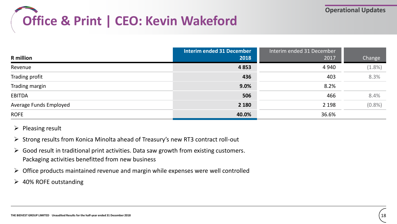# **Office & Print | CEO: Kevin Wakeford**

|                        | <b>Interim ended 31 December</b> | Interim ended 31 December |           |
|------------------------|----------------------------------|---------------------------|-----------|
| <b>R</b> million       | 2018                             | 2017                      | Change    |
| Revenue                | 4853                             | 4 9 4 0                   | $(1.8\%)$ |
| Trading profit         | 436                              | 403                       | 8.3%      |
| Trading margin         | 9.0%                             | 8.2%                      |           |
| <b>EBITDA</b>          | 506                              | 466                       | 8.4%      |
| Average Funds Employed | 2 1 8 0                          | 2 1 9 8                   | (0.8% )   |
| <b>ROFE</b>            | 40.0%                            | 36.6%                     |           |

- $\triangleright$  Pleasing result
- ➢ Strong results from Konica Minolta ahead of Treasury's new RT3 contract roll-out
- $\triangleright$  Good result in traditional print activities. Data saw growth from existing customers. Packaging activities benefitted from new business
- $\triangleright$  Office products maintained revenue and margin while expenses were well controlled
- $\geq$  40% ROFE outstanding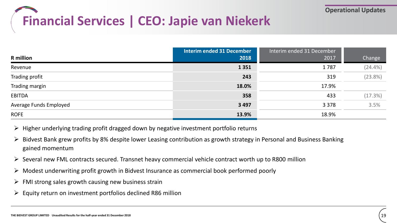# **Financial Services | CEO: Japie van Niekerk**

|                        | <b>Interim ended 31 December</b> | Interim ended 31 December |            |
|------------------------|----------------------------------|---------------------------|------------|
| <b>R</b> million       | 2018                             | 2017                      | Change     |
| Revenue                | 1351                             | 1787                      | $(24.4\%)$ |
| Trading profit         | 243                              | 319                       | (23.8%)    |
| Trading margin         | 18.0%                            | 17.9%                     |            |
| <b>EBITDA</b>          | 358                              | 433                       | (17.3%)    |
| Average Funds Employed | 3 4 9 7                          | 3 3 7 8                   | 3.5%       |
| <b>ROFE</b>            | 13.9%                            | 18.9%                     |            |

- ➢ Higher underlying trading profit dragged down by negative investment portfolio returns
- $\triangleright$  Bidvest Bank grew profits by 8% despite lower Leasing contribution as growth strategy in Personal and Business Banking gained momentum
- $\triangleright$  Several new FML contracts secured. Transnet heavy commercial vehicle contract worth up to R800 million
- ➢ Modest underwriting profit growth in Bidvest Insurance as commercial book performed poorly
- $\triangleright$  FMI strong sales growth causing new business strain
- $\triangleright$  Equity return on investment portfolios declined R86 million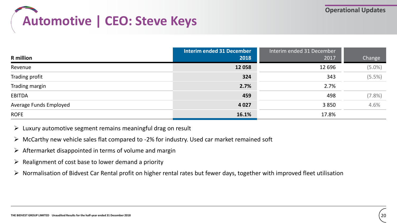# **Automotive | CEO: Steve Keys**

|                        | <b>Interim ended 31 December</b> | Interim ended 31 December |           |
|------------------------|----------------------------------|---------------------------|-----------|
| <b>R</b> million       | 2018                             | 2017                      | Change    |
| Revenue                | 12 0 58                          | 12 6 96                   | $(5.0\%)$ |
| Trading profit         | 324                              | 343                       | (5.5%)    |
| Trading margin         | 2.7%                             | 2.7%                      |           |
| <b>EBITDA</b>          | 459                              | 498                       | $(7.8\%)$ |
| Average Funds Employed | 4 0 27                           | 3850                      | 4.6%      |
| <b>ROFE</b>            | 16.1%                            | 17.8%                     |           |

- $\triangleright$  Luxury automotive segment remains meaningful drag on result
- ➢ McCarthy new vehicle sales flat compared to -2% for industry. Used car market remained soft
- $\triangleright$  Aftermarket disappointed in terms of volume and margin
- $\triangleright$  Realignment of cost base to lower demand a priority
- $\triangleright$  Normalisation of Bidvest Car Rental profit on higher rental rates but fewer days, together with improved fleet utilisation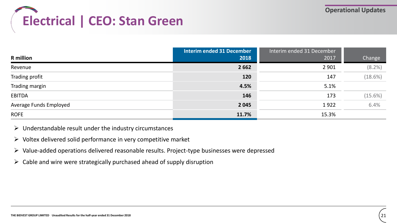# **Electrical | CEO: Stan Green**

|                        | <b>Interim ended 31 December</b> | Interim ended 31 December |         |
|------------------------|----------------------------------|---------------------------|---------|
| <b>R</b> million       | 2018                             | 2017                      | Change  |
| Revenue                | 2 6 6 2                          | 2 9 0 1                   | (8.2%)  |
| Trading profit         | 120                              | 147                       | (18.6%) |
| Trading margin         | 4.5%                             | 5.1%                      |         |
| <b>EBITDA</b>          | 146                              | 173                       | (15.6%) |
| Average Funds Employed | 2 0 4 5                          | 1922                      | 6.4%    |
| <b>ROFE</b>            | 11.7%                            | 15.3%                     |         |

- $\triangleright$  Understandable result under the industry circumstances
- $\triangleright$  Voltex delivered solid performance in very competitive market
- ➢ Value-added operations delivered reasonable results. Project-type businesses were depressed
- $\triangleright$  Cable and wire were strategically purchased ahead of supply disruption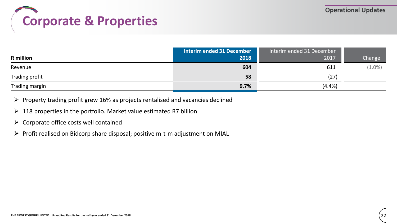### **Corporate & Properties**

| <b>R</b> million | <b>Interim ended 31 December</b><br>2018 | Interim ended 31 December<br>2017 | Change    |
|------------------|------------------------------------------|-----------------------------------|-----------|
| Revenue          | 604                                      | 611                               | $(1.0\%)$ |
| Trading profit   | 58                                       | (27)                              |           |
| Trading margin   | 9.7%                                     | (4.4%)                            |           |

- $\triangleright$  Property trading profit grew 16% as projects rentalised and vacancies declined
- $\geq 118$  properties in the portfolio. Market value estimated R7 billion
- $\triangleright$  Corporate office costs well contained
- ➢ Profit realised on Bidcorp share disposal; positive m-t-m adjustment on MIAL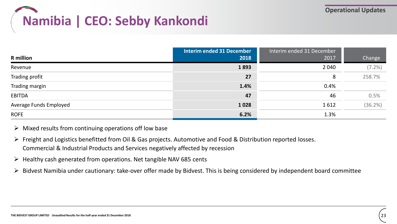# **Namibia | CEO: Sebby Kankondi**

|                        | <b>Interim ended 31 December</b> | Interim ended 31 December |           |
|------------------------|----------------------------------|---------------------------|-----------|
| <b>R</b> million       | 2018                             | 2017                      | Change    |
| Revenue                | 1893                             | 2 0 4 0                   | $(7.2\%)$ |
| Trading profit         | 27                               | 8                         | 258.7%    |
| Trading margin         | 1.4%                             | 0.4%                      |           |
| <b>EBITDA</b>          | 47                               | 46                        | 0.5%      |
| Average Funds Employed | 1028                             | 1612                      | (36.2%)   |
| <b>ROFE</b>            | 6.2%                             | 1.3%                      |           |

- $\triangleright$  Mixed results from continuing operations off low base
- ➢ Freight and Logistics benefitted from Oil & Gas projects. Automotive and Food & Distribution reported losses. Commercial & Industrial Products and Services negatively affected by recession
- ➢ Healthy cash generated from operations. Net tangible NAV 685 cents
- ➢ Bidvest Namibia under cautionary: take-over offer made by Bidvest. This is being considered by independent board committee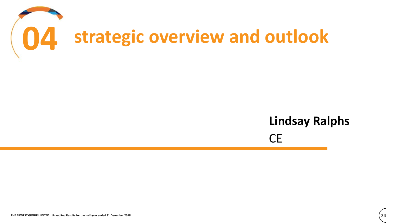

### **Lindsay Ralphs** CE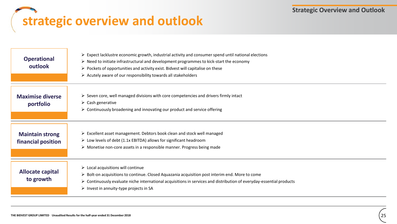## **strategic overview and outlook**

| <b>Operational</b><br>outlook                | $\triangleright$ Expect lacklustre economic growth, industrial activity and consumer spend until national elections<br>$\triangleright$ Need to initiate infrastructural and development programmes to kick-start the economy<br>$\triangleright$ Pockets of opportunities and activity exist. Bidvest will capitalise on these<br>$\triangleright$ Acutely aware of our responsibility towards all stakeholders |
|----------------------------------------------|------------------------------------------------------------------------------------------------------------------------------------------------------------------------------------------------------------------------------------------------------------------------------------------------------------------------------------------------------------------------------------------------------------------|
| <b>Maximise diverse</b><br>portfolio         | $\triangleright$ Seven core, well managed divisions with core competencies and drivers firmly intact<br>$\triangleright$ Cash generative<br>$\triangleright$ Continuously broadening and innovating our product and service offering                                                                                                                                                                             |
| <b>Maintain strong</b><br>financial position | $\triangleright$ Excellent asset management. Debtors book clean and stock well managed<br>$\triangleright$ Low levels of debt (1.1x EBITDA) allows for significant headroom<br>> Monetise non-core assets in a responsible manner. Progress being made                                                                                                                                                           |
| Allocate capital<br>to growth                | $\triangleright$ Local acquisitions will continue<br>$\triangleright$ Bolt-on acquisitions to continue. Closed Aquazania acquisition post interim end. More to come<br>$\triangleright$ Continuously evaluate niche international acquisitions in services and distribution of everyday-essential products<br>$\triangleright$ Invest in annuity-type projects in SA                                             |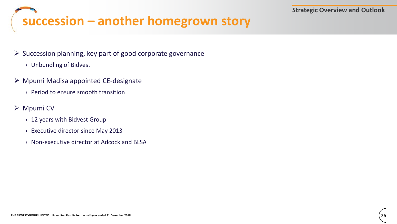# **succession – another homegrown story**

#### $\triangleright$  Succession planning, key part of good corporate governance

- › Unbundling of Bidvest
- ➢ Mpumi Madisa appointed CE-designate
	- › Period to ensure smooth transition

#### ➢ Mpumi CV

- › 12 years with Bidvest Group
- › Executive director since May 2013
- › Non-executive director at Adcock and BLSA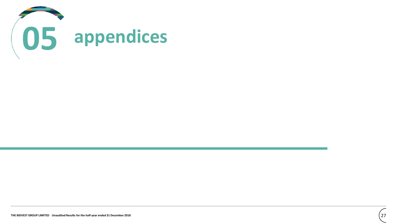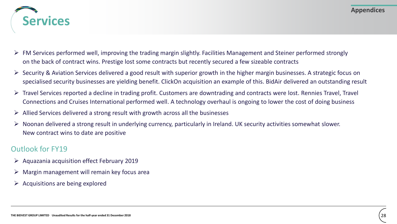

- $\triangleright$  FM Services performed well, improving the trading margin slightly. Facilities Management and Steiner performed strongly on the back of contract wins. Prestige lost some contracts but recently secured a few sizeable contracts
- ➢ Security & Aviation Services delivered a good result with superior growth in the higher margin businesses. A strategic focus on specialised security businesses are yielding benefit. ClickOn acquisition an example of this. BidAir delivered an outstanding result
- $\triangleright$  Travel Services reported a decline in trading profit. Customers are downtrading and contracts were lost. Rennies Travel, Travel Connections and Cruises International performed well. A technology overhaul is ongoing to lower the cost of doing business
- ➢ Allied Services delivered a strong result with growth across all the businesses
- ➢ Noonan delivered a strong result in underlying currency, particularly in Ireland. UK security activities somewhat slower. New contract wins to date are positive

- ➢ Aquazania acquisition effect February 2019
- ➢ Margin management will remain key focus area
- $\triangleright$  Acquisitions are being explored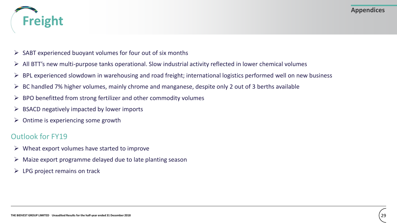

- $\triangleright$  SABT experienced buoyant volumes for four out of six months
- ➢ All BTT's new multi-purpose tanks operational. Slow industrial activity reflected in lower chemical volumes
- $\triangleright$  BPL experienced slowdown in warehousing and road freight; international logistics performed well on new business
- $\triangleright$  BC handled 7% higher volumes, mainly chrome and manganese, despite only 2 out of 3 berths available
- $\triangleright$  BPO benefitted from strong fertilizer and other commodity volumes
- $\triangleright$  BSACD negatively impacted by lower imports
- $\triangleright$  Ontime is experiencing some growth

- $\triangleright$  Wheat export volumes have started to improve
- $\triangleright$  Maize export programme delayed due to late planting season
- $\triangleright$  LPG project remains on track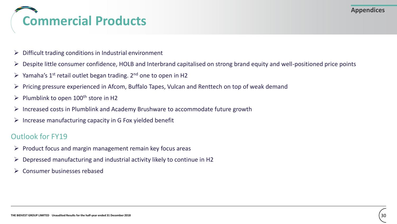## **Commercial Products**

- $\triangleright$  Difficult trading conditions in Industrial environment
- ➢ Despite little consumer confidence, HOLB and Interbrand capitalised on strong brand equity and well-positioned price points
- $\triangleright$  Yamaha's 1<sup>st</sup> retail outlet began trading. 2<sup>nd</sup> one to open in H2
- ➢ Pricing pressure experienced in Afcom, Buffalo Tapes, Vulcan and Renttech on top of weak demand
- $\triangleright$  Plumblink to open 100<sup>th</sup> store in H2
- ➢ Increased costs in Plumblink and Academy Brushware to accommodate future growth
- $\triangleright$  Increase manufacturing capacity in G Fox yielded benefit

- $\triangleright$  Product focus and margin management remain key focus areas
- $\triangleright$  Depressed manufacturing and industrial activity likely to continue in H2
- ➢ Consumer businesses rebased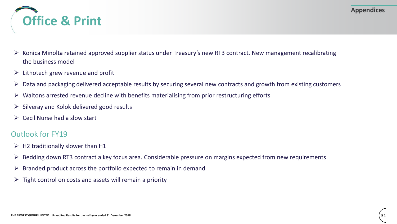

- $\triangleright$  Konica Minolta retained approved supplier status under Treasury's new RT3 contract. New management recalibrating the business model
- $\triangleright$  Lithotech grew revenue and profit
- $\triangleright$  Data and packaging delivered acceptable results by securing several new contracts and growth from existing customers
- $\triangleright$  Waltons arrested revenue decline with benefits materialising from prior restructuring efforts
- $\triangleright$  Silveray and Kolok delivered good results
- $\triangleright$  Cecil Nurse had a slow start

- $\triangleright$  H2 traditionally slower than H1
- ➢ Bedding down RT3 contract a key focus area. Considerable pressure on margins expected from new requirements
- $\triangleright$  Branded product across the portfolio expected to remain in demand
- $\triangleright$  Tight control on costs and assets will remain a priority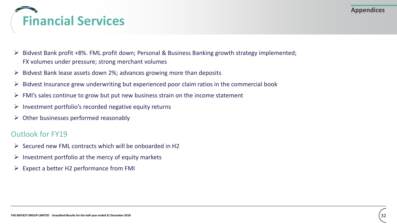

- ➢ Bidvest Bank profit +8%. FML profit down; Personal & Business Banking growth strategy implemented; FX volumes under pressure; strong merchant volumes
- $\triangleright$  Bidvest Bank lease assets down 2%; advances growing more than deposits
- $\triangleright$  Bidvest Insurance grew underwriting but experienced poor claim ratios in the commercial book
- $\triangleright$  FMI's sales continue to grow but put new business strain on the income statement
- $\triangleright$  Investment portfolio's recorded negative equity returns
- $\triangleright$  Other businesses performed reasonably

- $\triangleright$  Secured new FML contracts which will be onboarded in H2
- $\triangleright$  Investment portfolio at the mercy of equity markets
- $\triangleright$  Expect a better H2 performance from FMI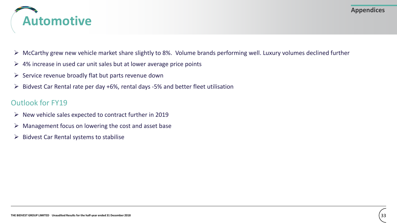

- $\triangleright$  McCarthy grew new vehicle market share slightly to 8%. Volume brands performing well. Luxury volumes declined further
- $\triangleright$  4% increase in used car unit sales but at lower average price points
- $\triangleright$  Service revenue broadly flat but parts revenue down
- $\triangleright$  Bidvest Car Rental rate per day +6%, rental days -5% and better fleet utilisation

- $\triangleright$  New vehicle sales expected to contract further in 2019
- $\triangleright$  Management focus on lowering the cost and asset base
- $\triangleright$  Bidvest Car Rental systems to stabilise

**Appendices**